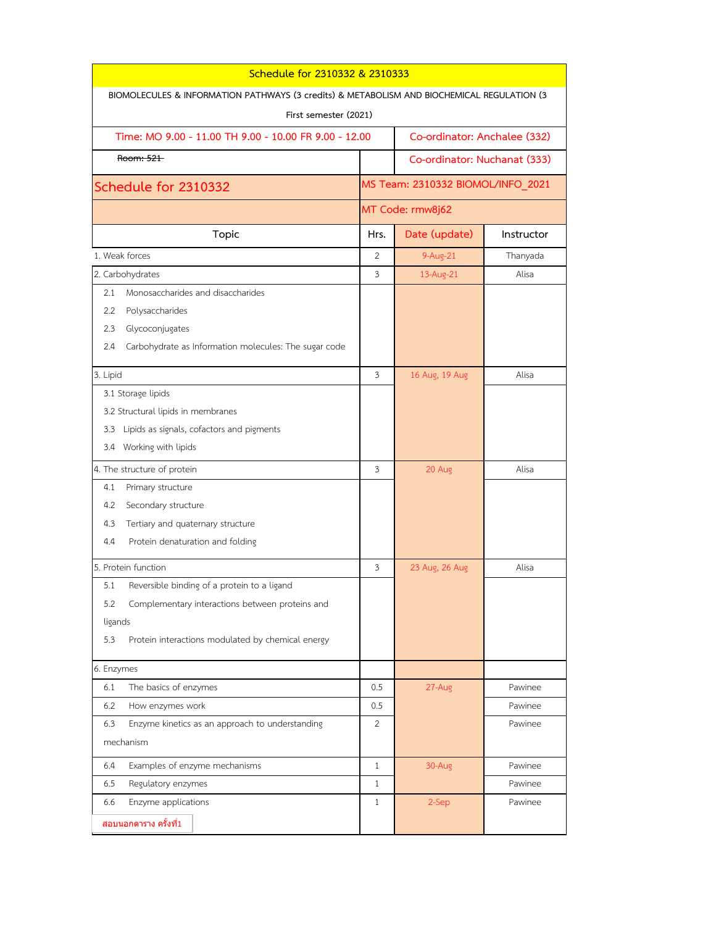| Schedule for 2310332 & 2310333                                                             |                                   |                              |            |  |  |  |  |  |  |  |  |  |
|--------------------------------------------------------------------------------------------|-----------------------------------|------------------------------|------------|--|--|--|--|--|--|--|--|--|
| BIOMOLECULES & INFORMATION PATHWAYS (3 credits) & METABOLISM AND BIOCHEMICAL REGULATION (3 |                                   |                              |            |  |  |  |  |  |  |  |  |  |
| First semester (2021)                                                                      |                                   |                              |            |  |  |  |  |  |  |  |  |  |
| Time: MO 9.00 - 11.00 TH 9.00 - 10.00 FR 9.00 - 12.00                                      |                                   | Co-ordinator: Anchalee (332) |            |  |  |  |  |  |  |  |  |  |
| Room: 521                                                                                  |                                   | Co-ordinator: Nuchanat (333) |            |  |  |  |  |  |  |  |  |  |
| Schedule for 2310332                                                                       | MS Team: 2310332 BIOMOL/INFO_2021 |                              |            |  |  |  |  |  |  |  |  |  |
|                                                                                            | MT Code: rmw8j62                  |                              |            |  |  |  |  |  |  |  |  |  |
| Topic                                                                                      | Hrs.                              | Date (update)                | Instructor |  |  |  |  |  |  |  |  |  |
| 1. Weak forces                                                                             | 2                                 | 9-Aug-21                     | Thanyada   |  |  |  |  |  |  |  |  |  |
| 2. Carbohydrates                                                                           | 3                                 | 13-Aug-21                    | Alisa      |  |  |  |  |  |  |  |  |  |
| Monosaccharides and disaccharides<br>2.1                                                   |                                   |                              |            |  |  |  |  |  |  |  |  |  |
| 2.2<br>Polysaccharides                                                                     |                                   |                              |            |  |  |  |  |  |  |  |  |  |
| Glycoconjugates<br>2.3                                                                     |                                   |                              |            |  |  |  |  |  |  |  |  |  |
| Carbohydrate as Information molecules: The sugar code<br>2.4                               |                                   |                              |            |  |  |  |  |  |  |  |  |  |
| 3. Lipid                                                                                   | 3                                 | 16 Aug, 19 Aug               | Alisa      |  |  |  |  |  |  |  |  |  |
| 3.1 Storage lipids                                                                         |                                   |                              |            |  |  |  |  |  |  |  |  |  |
| 3.2 Structural lipids in membranes                                                         |                                   |                              |            |  |  |  |  |  |  |  |  |  |
| Lipids as signals, cofactors and pigments<br>3.3                                           |                                   |                              |            |  |  |  |  |  |  |  |  |  |
| 3.4 Working with lipids                                                                    |                                   |                              |            |  |  |  |  |  |  |  |  |  |
| 4. The structure of protein                                                                | 3                                 | 20 Aug                       | Alisa      |  |  |  |  |  |  |  |  |  |
| 4.1<br>Primary structure                                                                   |                                   |                              |            |  |  |  |  |  |  |  |  |  |
| 4.2<br>Secondary structure                                                                 |                                   |                              |            |  |  |  |  |  |  |  |  |  |
| Tertiary and quaternary structure<br>4.3                                                   |                                   |                              |            |  |  |  |  |  |  |  |  |  |
| 4.4<br>Protein denaturation and folding                                                    |                                   |                              |            |  |  |  |  |  |  |  |  |  |
| 5. Protein function                                                                        | 3                                 | 23 Aug, 26 Aug               | Alisa      |  |  |  |  |  |  |  |  |  |
| 5.1 Reversible binding of a protein to a ligand                                            |                                   |                              |            |  |  |  |  |  |  |  |  |  |
| Complementary interactions between proteins and<br>5.2                                     |                                   |                              |            |  |  |  |  |  |  |  |  |  |
| ligands                                                                                    |                                   |                              |            |  |  |  |  |  |  |  |  |  |
| 5.3<br>Protein interactions modulated by chemical energy                                   |                                   |                              |            |  |  |  |  |  |  |  |  |  |
| 6. Enzymes                                                                                 |                                   |                              |            |  |  |  |  |  |  |  |  |  |
| 6.1<br>The basics of enzymes                                                               | 0.5                               | 27-Aug                       | Pawinee    |  |  |  |  |  |  |  |  |  |
| 6.2<br>How enzymes work                                                                    | 0.5                               |                              | Pawinee    |  |  |  |  |  |  |  |  |  |
| Enzyme kinetics as an approach to understanding<br>6.3                                     | 2                                 |                              | Pawinee    |  |  |  |  |  |  |  |  |  |
| mechanism                                                                                  |                                   |                              |            |  |  |  |  |  |  |  |  |  |
| Examples of enzyme mechanisms<br>6.4                                                       | $\mathbf{1}$                      | 30-Aug                       | Pawinee    |  |  |  |  |  |  |  |  |  |
| 6.5<br>Regulatory enzymes                                                                  | $\mathbf{1}$                      |                              | Pawinee    |  |  |  |  |  |  |  |  |  |
| 6.6<br>Enzyme applications                                                                 | $\mathbf{1}$                      | 2-Sep                        | Pawinee    |  |  |  |  |  |  |  |  |  |
| สอบนอกตาราง ครั้งที่1                                                                      |                                   |                              |            |  |  |  |  |  |  |  |  |  |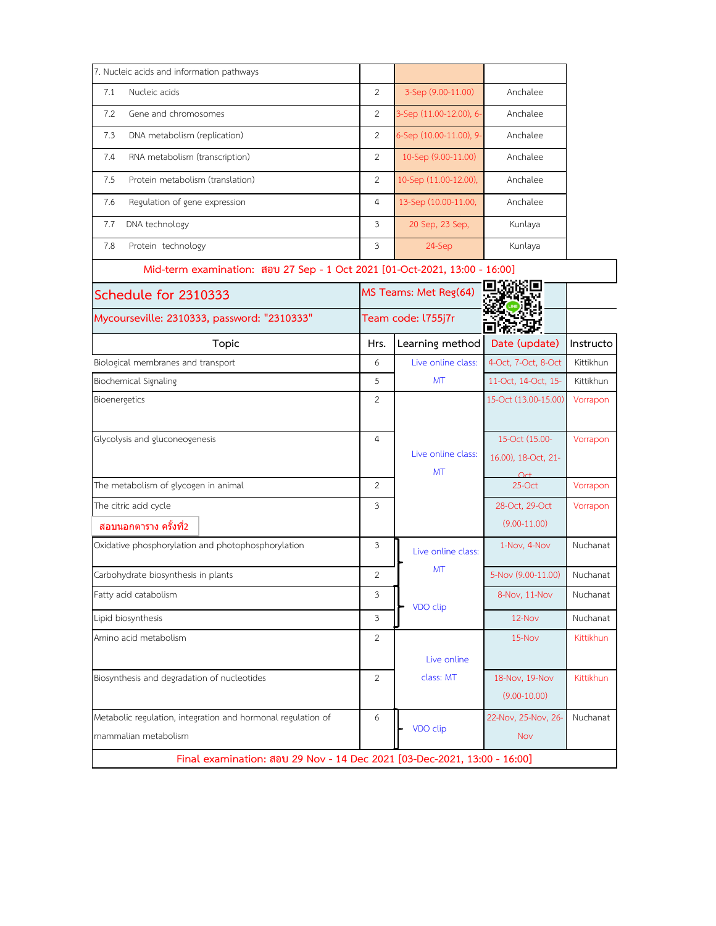| 7. Nucleic acids and information pathways                                  |                |                                 |                                       |           |
|----------------------------------------------------------------------------|----------------|---------------------------------|---------------------------------------|-----------|
| Nucleic acids<br>7.1                                                       | $\overline{2}$ | 3-Sep (9.00-11.00)              | Anchalee                              |           |
| 7.2<br>Gene and chromosomes                                                | $\overline{2}$ | 3-Sep (11.00-12.00), 6-         | Anchalee                              |           |
| 7.3<br>DNA metabolism (replication)                                        | $\overline{2}$ | 6-Sep (10.00-11.00), 9-         | Anchalee                              |           |
| RNA metabolism (transcription)<br>7.4                                      | 2              | 10-Sep (9.00-11.00)             | Anchalee                              |           |
| Protein metabolism (translation)<br>7.5                                    | $\overline{2}$ | 10-Sep (11.00-12.00),           | Anchalee                              |           |
| 7.6<br>Regulation of gene expression                                       | 4              | 13-Sep (10.00-11.00,            | Anchalee                              |           |
| DNA technology<br>7.7                                                      | 3              | 20 Sep, 23 Sep,                 | Kunlaya                               |           |
| 7.8<br>Protein technology                                                  | 3              | 24-Sep                          | Kunlaya                               |           |
| Mid-term examination: สอบ 27 Sep - 1 Oct 2021 [01-Oct-2021, 13:00 - 16:00] |                |                                 |                                       |           |
| Schedule for 2310333                                                       |                | MS Teams: Met Reg(64)           |                                       |           |
| Mycourseville: 2310333, password: "2310333"                                |                | Team code: l755j7r              |                                       |           |
| Topic                                                                      | Hrs.           | Learning method                 | Date (update)                         | Instructo |
| Biological membranes and transport                                         | 6              | Live online class:              | 4-Oct, 7-Oct, 8-Oct                   | Kittikhun |
| Biochemical Signaling                                                      | 5              | MT                              | 11-Oct, 14-Oct, 15-                   | Kittikhun |
| Bioenergetics                                                              | $\overline{2}$ |                                 | 15-Oct (13.00-15.00)                  | Vorrapon  |
| Glycolysis and gluconeogenesis                                             | 4              | Live online class:<br><b>MT</b> | 15-Oct (15.00-<br>16.00), 18-Oct, 21- | Vorrapon  |
| The metabolism of glycogen in animal                                       | $\overline{2}$ |                                 | $\bigcap_{r=1}$<br>25-Oct             | Vorrapon  |
| The citric acid cycle<br>สอบนอกตาราง ครั้งที่2                             | 3              |                                 | 28-Oct, 29-Oct<br>$(9.00 - 11.00)$    | Vorrapon  |
| Oxidative phosphorylation and photophosphorylation                         | 3              | Live online class:              | 1-Nov, 4-Nov                          | Nuchanat  |
| Carbohydrate biosynthesis in plants                                        | $\overline{2}$ | MT                              | 5-Nov (9.00-11.00)                    | Nuchanat  |
| Fatty acid catabolism                                                      | 3              |                                 | 8-Nov, 11-Nov                         | Nuchanat  |
| Lipid biosynthesis                                                         | 3              | VDO clip                        | 12-Nov                                | Nuchanat  |
| Amino acid metabolism                                                      | 2              |                                 | 15-Nov                                | Kittikhun |
| Biosynthesis and degradation of nucleotides                                | $\overline{2}$ | Live online<br>class: MT        | 18-Nov, 19-Nov                        | Kittikhun |
|                                                                            |                |                                 | $(9.00 - 10.00)$                      |           |
|                                                                            |                |                                 |                                       |           |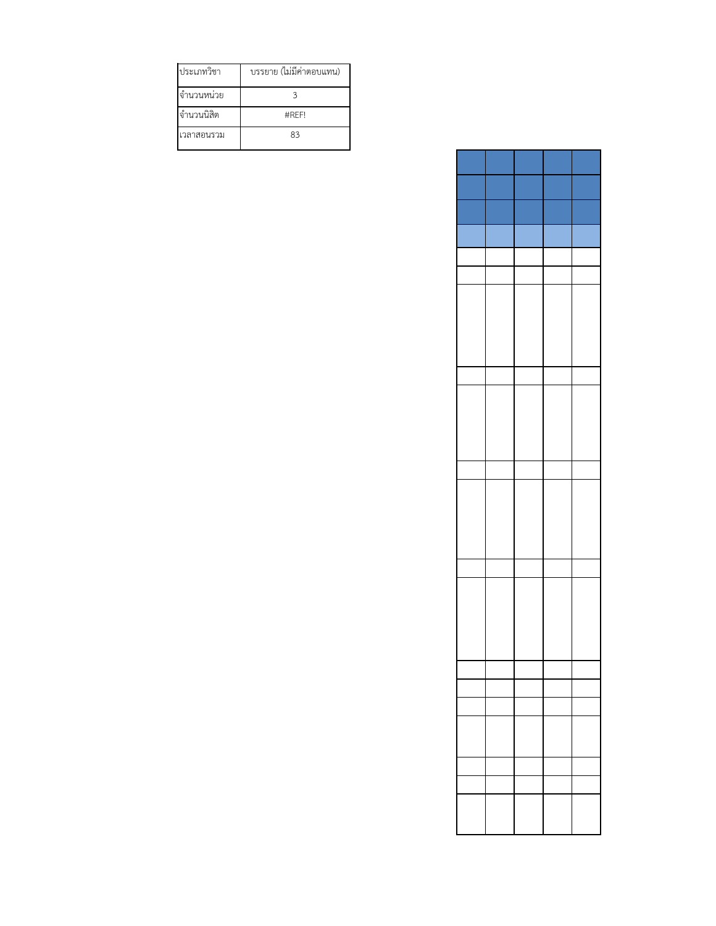| ประเภทวิชา | บรรยาย (ไม่มีค่าตอบแทน) |
|------------|-------------------------|
| จำนวนหน่วย |                         |
| จำนวนนิสิต | #RFF!                   |
| เวลาสอนรวม | 83                      |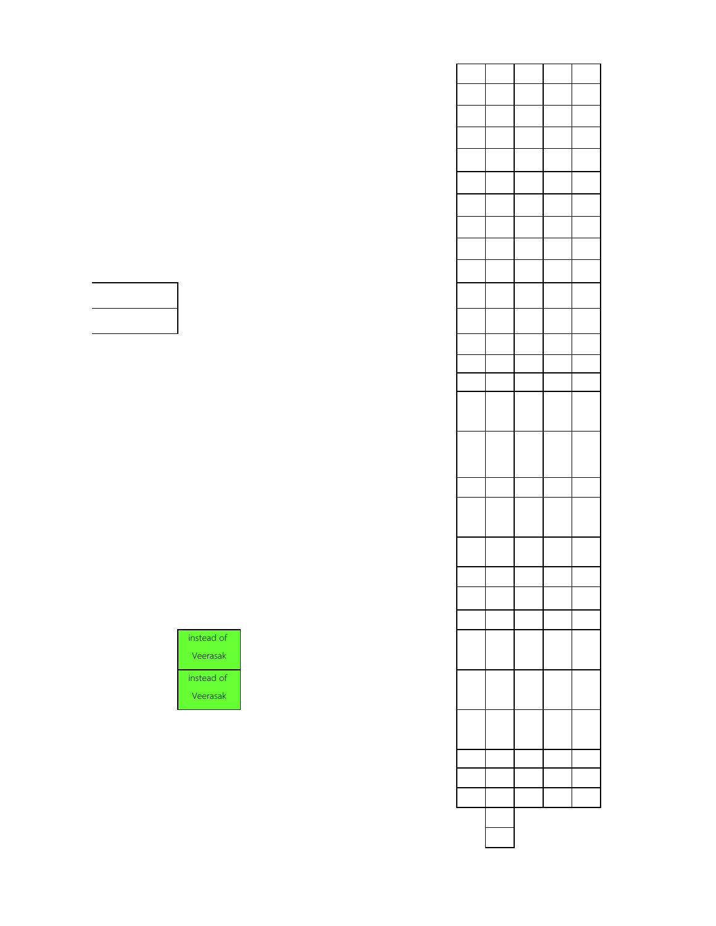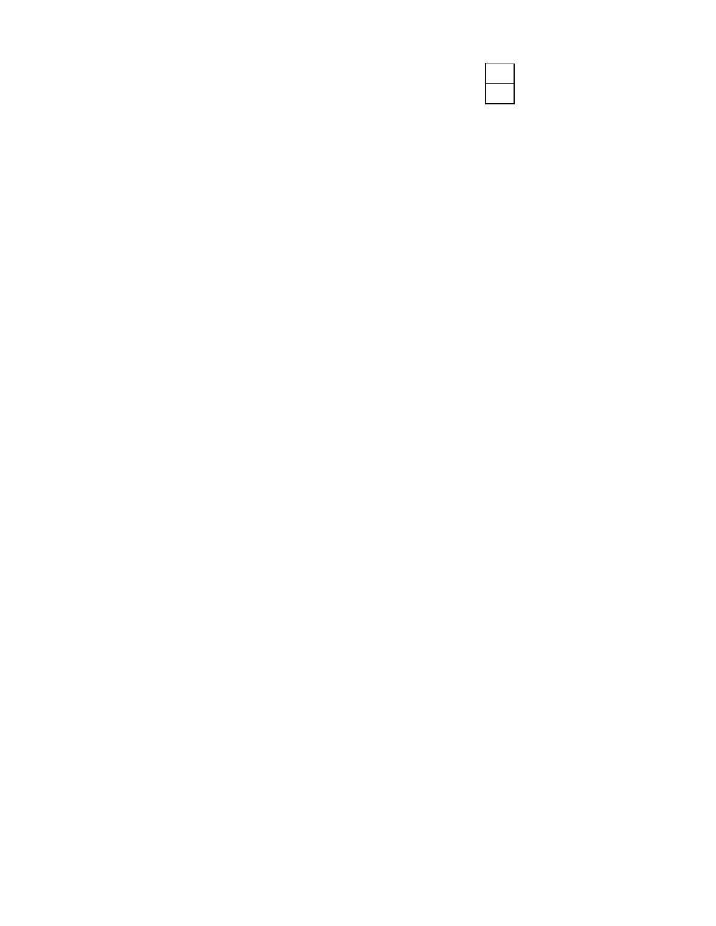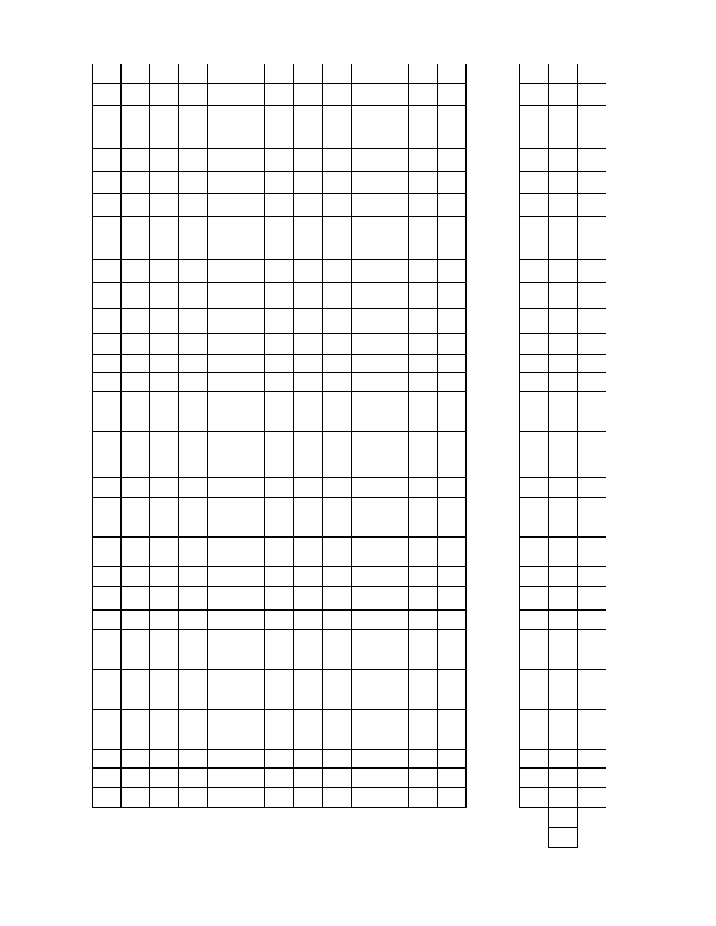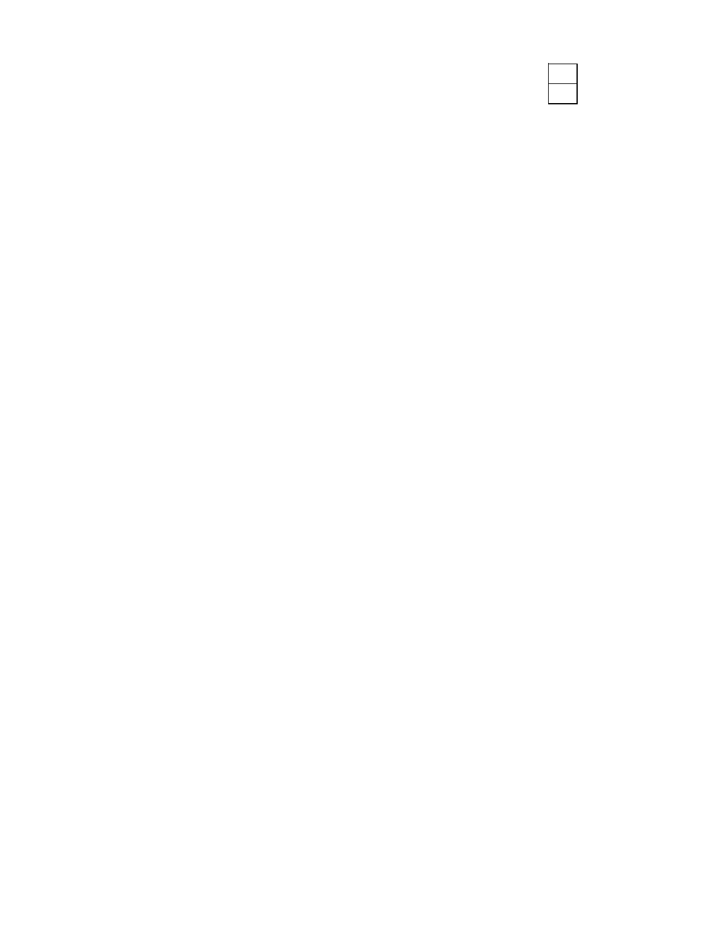$\Box$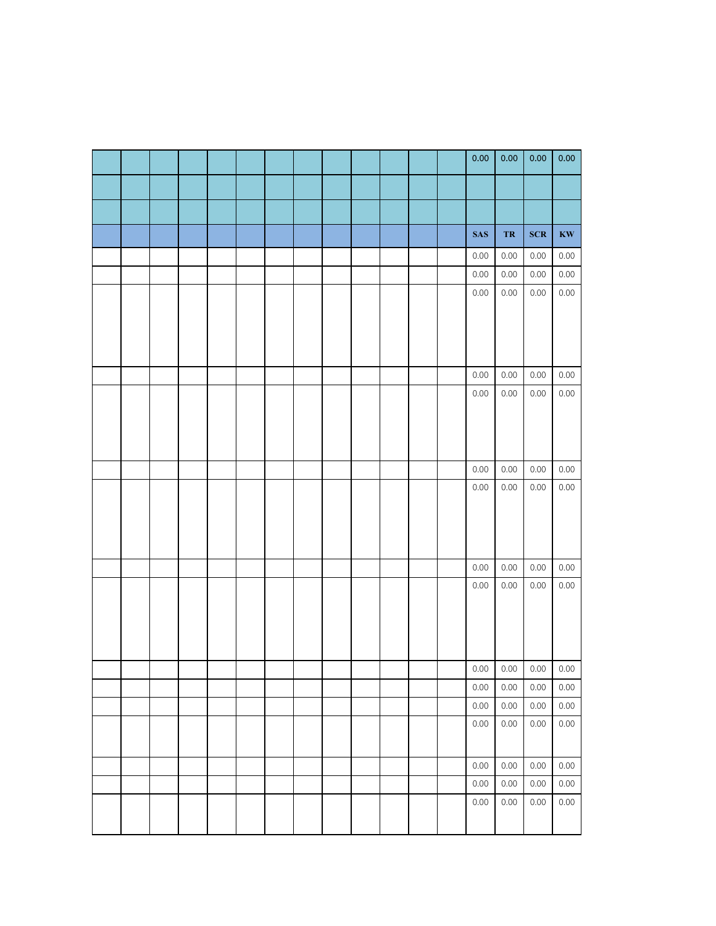|  |  |  |  |  |  | 0.00        | 0.00                   | 0.00     | 0.00                   |
|--|--|--|--|--|--|-------------|------------------------|----------|------------------------|
|  |  |  |  |  |  |             |                        |          |                        |
|  |  |  |  |  |  |             |                        |          |                        |
|  |  |  |  |  |  |             |                        |          |                        |
|  |  |  |  |  |  | ${\bf SAS}$ | TR                     | SCR      | $\mathbf{K}\mathbf{W}$ |
|  |  |  |  |  |  | 0.00        | $0.00\,$               | $0.00\,$ | $0.00\,$               |
|  |  |  |  |  |  | 0.00        | $0.00\,$               | $0.00\,$ | $0.00\,$               |
|  |  |  |  |  |  | 0.00        | 0.00                   | $0.00\,$ | $0.00\,$               |
|  |  |  |  |  |  |             |                        |          |                        |
|  |  |  |  |  |  |             |                        |          |                        |
|  |  |  |  |  |  |             |                        |          |                        |
|  |  |  |  |  |  | 0.00        | 0.00                   | $0.00\,$ | $0.00\,$               |
|  |  |  |  |  |  | $0.00\,$    | 0.00                   | 0.00     | $0.00\,$               |
|  |  |  |  |  |  |             |                        |          |                        |
|  |  |  |  |  |  |             |                        |          |                        |
|  |  |  |  |  |  |             |                        |          |                        |
|  |  |  |  |  |  | 0.00        | 0.00                   | 0.00     | $0.00\,$               |
|  |  |  |  |  |  | 0.00        | 0.00                   | $0.00\,$ | $0.00\,$               |
|  |  |  |  |  |  |             |                        |          |                        |
|  |  |  |  |  |  |             |                        |          |                        |
|  |  |  |  |  |  |             |                        |          |                        |
|  |  |  |  |  |  | 0.00        | 0.00                   | 0.00     | $0.00\,$               |
|  |  |  |  |  |  | 0.00        | 0.00                   | $0.00\,$ | $0.00\,$               |
|  |  |  |  |  |  |             |                        |          |                        |
|  |  |  |  |  |  |             |                        |          |                        |
|  |  |  |  |  |  |             |                        |          |                        |
|  |  |  |  |  |  |             | $0.00 \t 0.00 \t 0.00$ |          | 0.00                   |
|  |  |  |  |  |  | 0.00        | 0.00                   | 0.00     | $0.00\,$               |
|  |  |  |  |  |  | 0.00        | $0.00\,$               | $0.00\,$ | $0.00\,$               |
|  |  |  |  |  |  | 0.00        | $0.00\,$               | 0.00     | 0.00                   |
|  |  |  |  |  |  |             |                        |          |                        |
|  |  |  |  |  |  | 0.00        | $0.00\,$               | 0.00     | $0.00\,$               |
|  |  |  |  |  |  | 0.00        | $0.00\,$               | 0.00     | $0.00\,$               |
|  |  |  |  |  |  | 0.00        | 0.00                   | 0.00     | 0.00                   |
|  |  |  |  |  |  |             |                        |          |                        |
|  |  |  |  |  |  |             |                        |          |                        |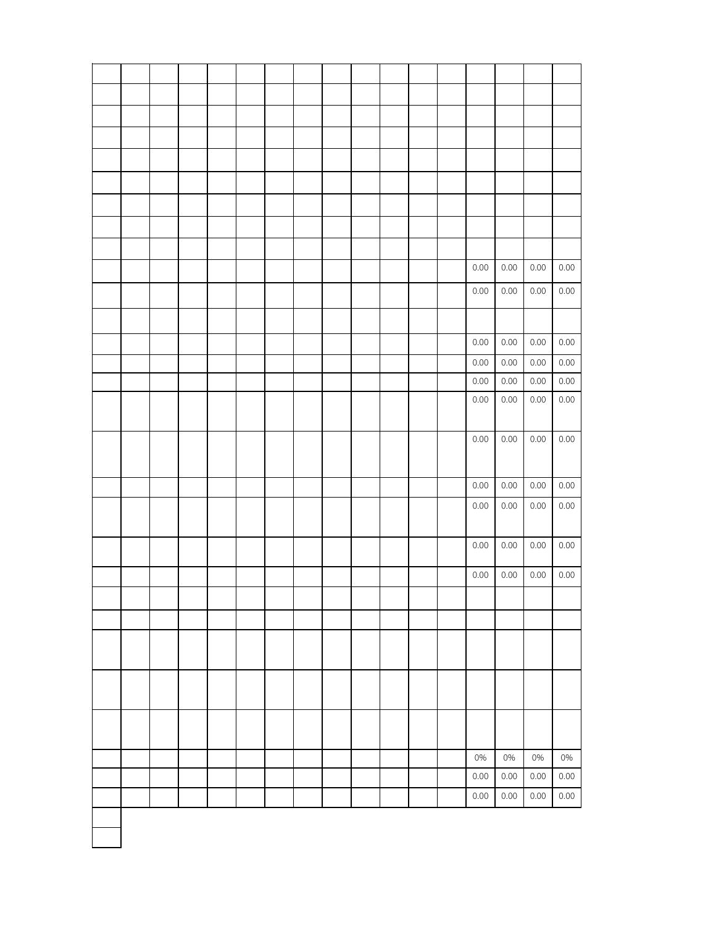|  |  |  |  |  |  | $0.00\,$ | $0.00\,$ | $0.00\,$ | 0.00     |
|--|--|--|--|--|--|----------|----------|----------|----------|
|  |  |  |  |  |  | $0.00\,$ | 0.00     | 0.00     | $0.00\,$ |
|  |  |  |  |  |  |          |          |          |          |
|  |  |  |  |  |  | $0.00\,$ | 0.00     | $0.00\,$ | $0.00\,$ |
|  |  |  |  |  |  | $0.00\,$ | $0.00\,$ | 0.00     | $0.00\,$ |
|  |  |  |  |  |  | $0.00\,$ | $0.00\,$ | 0.00     | $0.00\,$ |
|  |  |  |  |  |  | $0.00\,$ | 0.00     | 0.00     | $0.00\,$ |
|  |  |  |  |  |  | $0.00\,$ | $0.00\,$ | $0.00\,$ | $0.00\,$ |
|  |  |  |  |  |  |          |          |          |          |
|  |  |  |  |  |  | $0.00\,$ | $0.00\,$ | $0.00\,$ | $0.00\,$ |
|  |  |  |  |  |  | $0.00\,$ | $0.00\,$ | $0.00\,$ | $0.00\,$ |
|  |  |  |  |  |  | $0.00\,$ | 0.00     | $0.00\,$ | $0.00\,$ |
|  |  |  |  |  |  | $0.00\,$ | $0.00\,$ | $0.00\,$ | $0.00\,$ |
|  |  |  |  |  |  |          |          |          |          |
|  |  |  |  |  |  |          |          |          |          |
|  |  |  |  |  |  |          |          |          |          |
|  |  |  |  |  |  |          |          |          |          |
|  |  |  |  |  |  |          |          |          |          |
|  |  |  |  |  |  |          |          |          |          |
|  |  |  |  |  |  | 0%       | 0%       | 0%       | $0\%$    |
|  |  |  |  |  |  | $0.00\,$ | 0.00     | $0.00\,$ | 0.00     |
|  |  |  |  |  |  | $0.00\,$ | 0.00     | $0.00\,$ | $0.00\,$ |
|  |  |  |  |  |  |          |          |          |          |
|  |  |  |  |  |  |          |          |          |          |